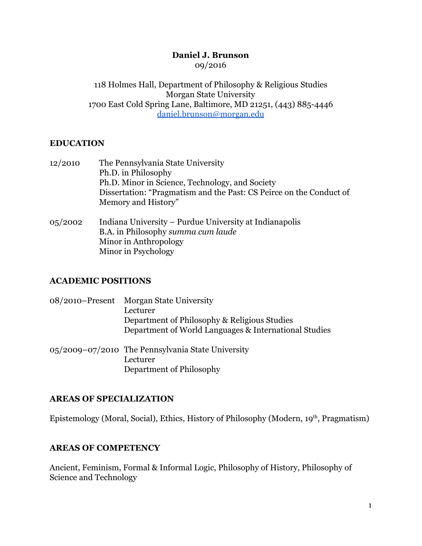### **Daniel J. Brunson** 09/2016

118 Holmes Hall, Department of Philosophy & Religious Studies Morgan State University 1700 East Cold Spring Lane, Baltimore, MD 21251, (443) 8854446 daniel.brunson@morgan.edu

## **EDUCATION**

- 12/2010 The Pennsylvania State University Ph.D. in Philosophy Ph.D. Minor in Science, Technology, and Society Dissertation: "Pragmatism and the Past: CS Peirce on the Conduct of Memory and History"
- 05/2002 Indiana University Purdue University at Indianapolis B.A. in Philosophy *summa cum laude* Minor in Anthropology Minor in Psychology

## **ACADEMIC POSITIONS**

| 08/2010–Present Morgan State University               |
|-------------------------------------------------------|
| Lecturer                                              |
| Department of Philosophy & Religious Studies          |
| Department of World Languages & International Studies |
|                                                       |

05/2009–07/2010 The Pennsylvania State University Lecturer Department of Philosophy

## **AREAS OF SPECIALIZATION**

Epistemology (Moral, Social), Ethics, History of Philosophy (Modern, 19<sup>th</sup>, Pragmatism)

## **AREAS OF COMPETENCY**

Ancient, Feminism, Formal & Informal Logic, Philosophy of History, Philosophy of Science and Technology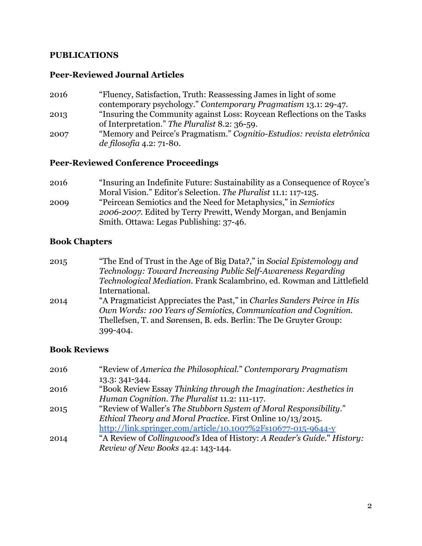### **PUBLICATIONS**

#### **Peer-Reviewed Journal Articles**

2016 "Fluency, Satisfaction, Truth: Reassessing James in light of some contemporary psychology." *Contemporary Pragmatism* 13.1: 29-47. 2013 "Insuring the Community against Loss: Roycean Reflections on the Tasks of Interpretation." *The Pluralist* 8.2: 36-59. 2007 "Memory and Peirce's Pragmatism." *Cognitio-Estudios: revista eletrônica de filosofia* 4.2: 71-80.

#### **Peer-Reviewed Conference Proceedings**

2016 "Insuring an Indefinite Future: Sustainability as a Consequence of Royce's Moral Vision." Editor's Selection. The Pluralist 11.1: 117-125. 2009 "Peircean Semiotics and the Need for Metaphysics," in *Semiotics 20062007*. Edited by Terry Prewitt, Wendy Morgan, and Benjamin Smith. Ottawa: Legas Publishing: 37-46.

### **Book Chapters**

2015 "The End of Trust in the Age of Big Data?," in *Social Epistemology and Technology: Toward Increasing Public Self-Awareness Regarding Technological Mediation.* Frank Scalambrino, ed. Rowman and Littlefield International. 2014 "A Pragmaticist Appreciates the Past," in *Charles Sanders Peirce in His Own Words: 100 Years of Semiotics, Communication and Cognition.* Thellefsen, T. and Sørensen, B. eds. Berlin: The De Gruyter Group: 399404.

#### **Book Reviews**

| 2016 | "Review of America the Philosophical." Contemporary Pragmatism          |
|------|-------------------------------------------------------------------------|
|      | 13.3: 341-344.                                                          |
| 2016 | "Book Review Essay Thinking through the Imagination: Aesthetics in      |
|      | Human Cognition. The Pluralist 11.2: 111-117.                           |
| 2015 | "Review of Waller's The Stubborn System of Moral Responsibility."       |
|      | Ethical Theory and Moral Practice. First Online 10/13/2015.             |
|      | http://link.springer.com/article/10.1007%2Fs10677-015-9644-y            |
| 2014 | "A Review of Collingwood's Idea of History: A Reader's Guide." History: |
|      | Review of New Books 42.4: 143-144.                                      |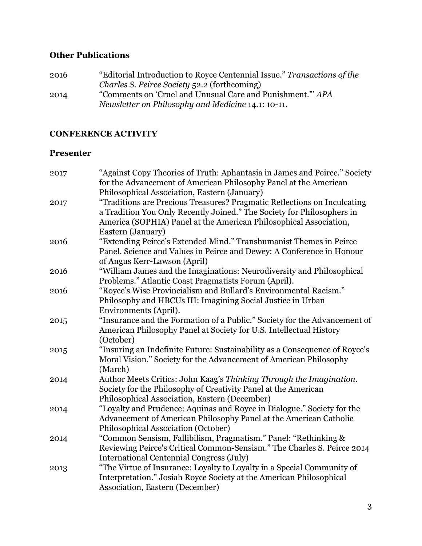# **Other Publications**

| 2016 | "Editorial Introduction to Royce Centennial Issue." Transactions of the |
|------|-------------------------------------------------------------------------|
|      | Charles S. Peirce Society 52.2 (forthcoming)                            |
| 2014 | "Comments on 'Cruel and Unusual Care and Punishment." APA               |
|      | Newsletter on Philosophy and Medicine 14.1: 10-11.                      |

# **CONFERENCE ACTIVITY**

## **Presenter**

| 2017 | "Against Copy Theories of Truth: Aphantasia in James and Peirce." Society                                                                   |
|------|---------------------------------------------------------------------------------------------------------------------------------------------|
|      | for the Advancement of American Philosophy Panel at the American                                                                            |
|      | Philosophical Association, Eastern (January)                                                                                                |
| 2017 | "Traditions are Precious Treasures? Pragmatic Reflections on Inculcating                                                                    |
|      | a Tradition You Only Recently Joined." The Society for Philosophers in                                                                      |
|      | America (SOPHIA) Panel at the American Philosophical Association,                                                                           |
|      | Eastern (January)                                                                                                                           |
| 2016 | "Extending Peirce's Extended Mind." Transhumanist Themes in Peirce<br>Panel. Science and Values in Peirce and Dewey: A Conference in Honour |
|      | of Angus Kerr-Lawson (April)                                                                                                                |
| 2016 | "William James and the Imaginations: Neurodiversity and Philosophical                                                                       |
|      | Problems." Atlantic Coast Pragmatists Forum (April).                                                                                        |
| 2016 | "Royce's Wise Provincialism and Bullard's Environmental Racism."                                                                            |
|      | Philosophy and HBCUs III: Imagining Social Justice in Urban                                                                                 |
|      | Environments (April).                                                                                                                       |
| 2015 | "Insurance and the Formation of a Public." Society for the Advancement of                                                                   |
|      | American Philosophy Panel at Society for U.S. Intellectual History                                                                          |
|      | (October)                                                                                                                                   |
| 2015 | "Insuring an Indefinite Future: Sustainability as a Consequence of Royce's                                                                  |
|      | Moral Vision." Society for the Advancement of American Philosophy                                                                           |
|      | (March)                                                                                                                                     |
| 2014 | Author Meets Critics: John Kaag's Thinking Through the Imagination.                                                                         |
|      | Society for the Philosophy of Creativity Panel at the American                                                                              |
|      | Philosophical Association, Eastern (December)                                                                                               |
| 2014 | "Loyalty and Prudence: Aquinas and Royce in Dialogue." Society for the                                                                      |
|      | Advancement of American Philosophy Panel at the American Catholic<br>Philosophical Association (October)                                    |
| 2014 | "Common Sensism, Fallibilism, Pragmatism." Panel: "Rethinking &                                                                             |
|      | Reviewing Peirce's Critical Common-Sensism." The Charles S. Peirce 2014                                                                     |
|      | International Centennial Congress (July)                                                                                                    |
| 2013 | "The Virtue of Insurance: Loyalty to Loyalty in a Special Community of                                                                      |
|      | Interpretation." Josiah Royce Society at the American Philosophical                                                                         |
|      | Association, Eastern (December)                                                                                                             |
|      |                                                                                                                                             |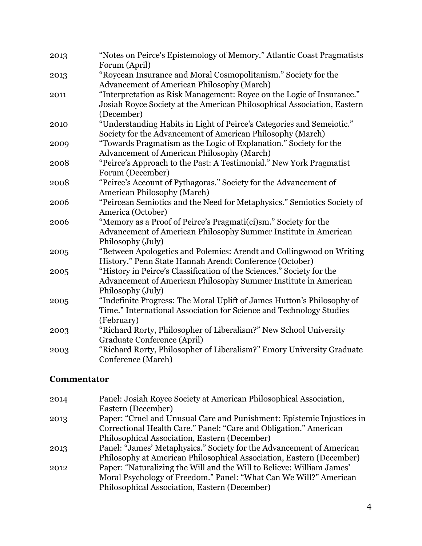| 2013 | "Notes on Peirce's Epistemology of Memory." Atlantic Coast Pragmatists<br>Forum (April)                                                                        |
|------|----------------------------------------------------------------------------------------------------------------------------------------------------------------|
| 2013 | "Roycean Insurance and Moral Cosmopolitanism." Society for the<br><b>Advancement of American Philosophy (March)</b>                                            |
| 2011 | "Interpretation as Risk Management: Royce on the Logic of Insurance."<br>Josiah Royce Society at the American Philosophical Association, Eastern<br>(December) |
| 2010 | "Understanding Habits in Light of Peirce's Categories and Semeiotic."<br>Society for the Advancement of American Philosophy (March)                            |
| 2009 | "Towards Pragmatism as the Logic of Explanation." Society for the<br>Advancement of American Philosophy (March)                                                |
| 2008 | "Peirce's Approach to the Past: A Testimonial." New York Pragmatist<br>Forum (December)                                                                        |
| 2008 | "Peirce's Account of Pythagoras." Society for the Advancement of<br><b>American Philosophy (March)</b>                                                         |
| 2006 | "Peircean Semiotics and the Need for Metaphysics." Semiotics Society of<br>America (October)                                                                   |
| 2006 | "Memory as a Proof of Peirce's Pragmati(ci)sm." Society for the<br>Advancement of American Philosophy Summer Institute in American<br>Philosophy (July)        |
| 2005 | "Between Apologetics and Polemics: Arendt and Collingwood on Writing<br>History." Penn State Hannah Arendt Conference (October)                                |
| 2005 | "History in Peirce's Classification of the Sciences." Society for the<br>Advancement of American Philosophy Summer Institute in American<br>Philosophy (July)  |
| 2005 | "Indefinite Progress: The Moral Uplift of James Hutton's Philosophy of<br>Time." International Association for Science and Technology Studies<br>(February)    |
| 2003 | "Richard Rorty, Philosopher of Liberalism?" New School University<br>Graduate Conference (April)                                                               |
| 2003 | "Richard Rorty, Philosopher of Liberalism?" Emory University Graduate<br>Conference (March)                                                                    |

## **Commentator**

| 2014 | Panel: Josiah Royce Society at American Philosophical Association,     |
|------|------------------------------------------------------------------------|
|      | Eastern (December)                                                     |
| 2013 | Paper: "Cruel and Unusual Care and Punishment: Epistemic Injustices in |
|      | Correctional Health Care." Panel: "Care and Obligation." American      |
|      | Philosophical Association, Eastern (December)                          |
| 2013 | Panel: "James' Metaphysics." Society for the Advancement of American   |
|      | Philosophy at American Philosophical Association, Eastern (December)   |
| 2012 | Paper: "Naturalizing the Will and the Will to Believe: William James"  |
|      | Moral Psychology of Freedom." Panel: "What Can We Will?" American      |
|      | Philosophical Association, Eastern (December)                          |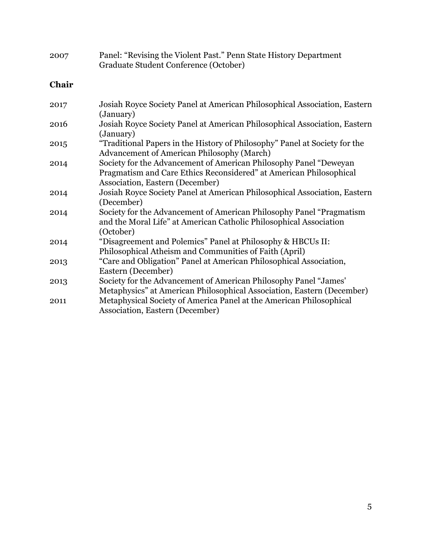| 2007  | Panel: "Revising the Violent Past." Penn State History Department<br>Graduate Student Conference (October)                                                                 |
|-------|----------------------------------------------------------------------------------------------------------------------------------------------------------------------------|
| Chair |                                                                                                                                                                            |
| 2017  | Josiah Royce Society Panel at American Philosophical Association, Eastern<br>(January)                                                                                     |
| 2016  | Josiah Royce Society Panel at American Philosophical Association, Eastern<br>(January)                                                                                     |
| 2015  | "Traditional Papers in the History of Philosophy" Panel at Society for the<br><b>Advancement of American Philosophy (March)</b>                                            |
| 2014  | Society for the Advancement of American Philosophy Panel "Deweyan<br>Pragmatism and Care Ethics Reconsidered" at American Philosophical<br>Association, Eastern (December) |
| 2014  | Josiah Royce Society Panel at American Philosophical Association, Eastern<br>(December)                                                                                    |
| 2014  | Society for the Advancement of American Philosophy Panel "Pragmatism"<br>and the Moral Life" at American Catholic Philosophical Association<br>(October)                   |
| 2014  | "Disagreement and Polemics" Panel at Philosophy & HBCUs II:<br>Philosophical Atheism and Communities of Faith (April)                                                      |
| 2013  | "Care and Obligation" Panel at American Philosophical Association,<br>Eastern (December)                                                                                   |
| 2013  | Society for the Advancement of American Philosophy Panel "James'<br>Metaphysics" at American Philosophical Association, Eastern (December)                                 |
| 2011  | Metaphysical Society of America Panel at the American Philosophical<br>Association, Eastern (December)                                                                     |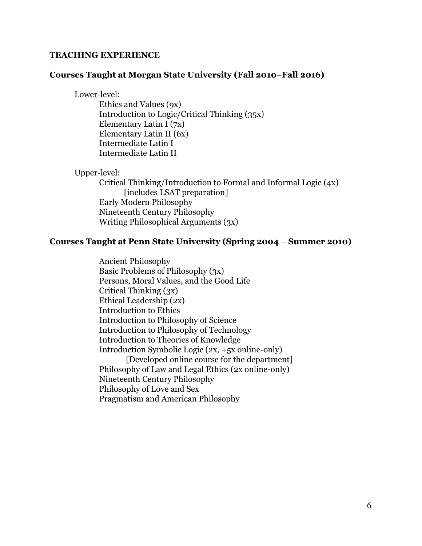#### **TEACHING EXPERIENCE**

#### **Courses Taught at Morgan State University (Fall 2010**–**Fall 2016)**

Lower-level:

Ethics and Values (9x) Introduction to Logic/Critical Thinking (35x) Elementary Latin I (7x) Elementary Latin II (6x) Intermediate Latin I Intermediate Latin II

Upper-level: Critical Thinking/Introduction to Formal and Informal Logic (4x) [includes LSAT preparation] Early Modern Philosophy Nineteenth Century Philosophy Writing Philosophical Arguments (3x)

#### **Courses Taught at Penn State University (Spring 2004** – **Summer 2010)**

Ancient Philosophy Basic Problems of Philosophy (3x) Persons, Moral Values, and the Good Life Critical Thinking (3x) Ethical Leadership (2x) Introduction to Ethics Introduction to Philosophy of Science Introduction to Philosophy of Technology Introduction to Theories of Knowledge Introduction Symbolic Logic  $(2x, +5x)$  online-only [Developed online course for the department] Philosophy of Law and Legal Ethics (2x online-only) Nineteenth Century Philosophy Philosophy of Love and Sex Pragmatism and American Philosophy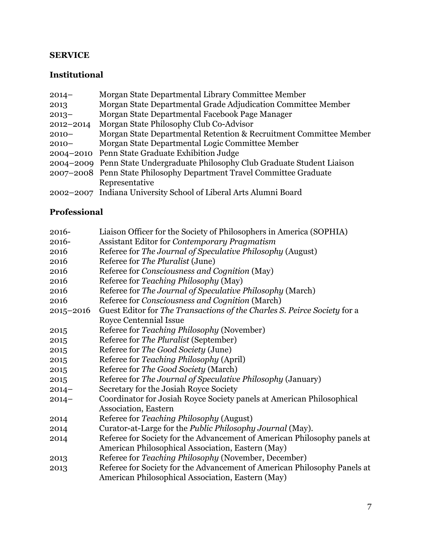## **SERVICE**

# **Institutional**

| $2014 -$  | Morgan State Departmental Library Committee Member                          |
|-----------|-----------------------------------------------------------------------------|
| 2013      | Morgan State Departmental Grade Adjudication Committee Member               |
| $2013 -$  | Morgan State Departmental Facebook Page Manager                             |
| 2012-2014 | Morgan State Philosophy Club Co-Advisor                                     |
| $2010 -$  | Morgan State Departmental Retention & Recruitment Committee Member          |
| $2010 -$  | Morgan State Departmental Logic Committee Member                            |
|           | 2004–2010 Penn State Graduate Exhibition Judge                              |
|           | 2004–2009 Penn State Undergraduate Philosophy Club Graduate Student Liaison |
|           | 2007–2008 Penn State Philosophy Department Travel Committee Graduate        |
|           | Representative                                                              |
|           | 2002–2007 Indiana University School of Liberal Arts Alumni Board            |

# **Professional**

| 2016-         | Liaison Officer for the Society of Philosophers in America (SOPHIA)      |
|---------------|--------------------------------------------------------------------------|
| 2016-         | Assistant Editor for Contemporary Pragmatism                             |
| 2016          | Referee for The Journal of Speculative Philosophy (August)               |
| 2016          | Referee for The Pluralist (June)                                         |
| 2016          | Referee for Consciousness and Cognition (May)                            |
| 2016          | Referee for Teaching Philosophy (May)                                    |
| 2016          | Referee for The Journal of Speculative Philosophy (March)                |
| 2016          | Referee for Consciousness and Cognition (March)                          |
| $2015 - 2016$ | Guest Editor for The Transactions of the Charles S. Peirce Society for a |
|               | <b>Royce Centennial Issue</b>                                            |
| 2015          | Referee for Teaching Philosophy (November)                               |
| 2015          | Referee for The Pluralist (September)                                    |
| 2015          | Referee for The Good Society (June)                                      |
| 2015          | Referee for Teaching Philosophy (April)                                  |
| 2015          | Referee for The Good Society (March)                                     |
| 2015          | Referee for The Journal of Speculative Philosophy (January)              |
| $2014 -$      | Secretary for the Josiah Royce Society                                   |
| $2014 -$      | Coordinator for Josiah Royce Society panels at American Philosophical    |
|               | <b>Association</b> , Eastern                                             |
| 2014          | Referee for Teaching Philosophy (August)                                 |
| 2014          | Curator-at-Large for the <i>Public Philosophy Journal</i> (May).         |
| 2014          | Referee for Society for the Advancement of American Philosophy panels at |
|               | American Philosophical Association, Eastern (May)                        |
| 2013          | Referee for Teaching Philosophy (November, December)                     |
| 2013          | Referee for Society for the Advancement of American Philosophy Panels at |
|               | American Philosophical Association, Eastern (May)                        |
|               |                                                                          |